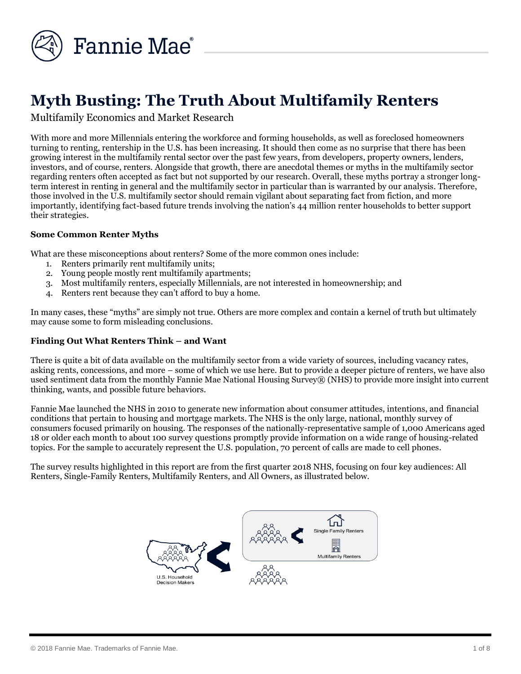

# **Myth Busting: The Truth About Multifamily Renters**

Multifamily Economics and Market Research

With more and more Millennials entering the workforce and forming households, as well as foreclosed homeowners turning to renting, rentership in the U.S. has been increasing. It should then come as no surprise that there has been growing interest in the multifamily rental sector over the past few years, from developers, property owners, lenders, investors, and of course, renters. Alongside that growth, there are anecdotal themes or myths in the multifamily sector regarding renters often accepted as fact but not supported by our research. Overall, these myths portray a stronger longterm interest in renting in general and the multifamily sector in particular than is warranted by our analysis. Therefore, those involved in the U.S. multifamily sector should remain vigilant about separating fact from fiction, and more importantly, identifying fact-based future trends involving the nation's 44 million renter households to better support their strategies.

#### **Some Common Renter Myths**

What are these misconceptions about renters? Some of the more common ones include:

- 1. Renters primarily rent multifamily units;
- 2. Young people mostly rent multifamily apartments;
- 3. Most multifamily renters, especially Millennials, are not interested in homeownership; and
- 4. Renters rent because they can't afford to buy a home.

In many cases, these "myths" are simply not true. Others are more complex and contain a kernel of truth but ultimately may cause some to form misleading conclusions.

#### **Finding Out What Renters Think – and Want**

There is quite a bit of data available on the multifamily sector from a wide variety of sources, including vacancy rates, asking rents, concessions, and more – some of which we use here. But to provide a deeper picture of renters, we have also used sentiment data from the monthly Fannie Mae National Housing Survey® (NHS) to provide more insight into current thinking, wants, and possible future behaviors.

Fannie Mae launched the NHS in 2010 to generate new information about consumer attitudes, intentions, and financial conditions that pertain to housing and mortgage markets. The NHS is the only large, national, monthly survey of consumers focused primarily on housing. The responses of the nationally-representative sample of 1,000 Americans aged 18 or older each month to about 100 survey questions promptly provide information on a wide range of housing-related topics. For the sample to accurately represent the U.S. population, 70 percent of calls are made to cell phones.

The survey results highlighted in this report are from the first quarter 2018 NHS, focusing on four key audiences: All Renters, Single-Family Renters, Multifamily Renters, and All Owners, as illustrated below.

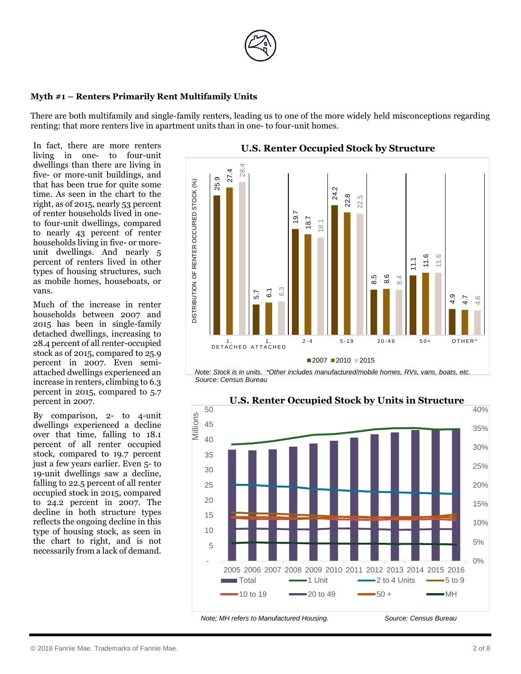

#### **Myth #1 – Renters Primarily Rent Multifamily Units**

There are both multifamily and single-family renters, leading us to one of the more widely held misconceptions regarding renting: that more renters live in apartment units than in one- to four-unit homes.

In fact, there are more renters living in one- to four-unit dwellings than there are living in five- or more-unit buildings, and that has been true for quite some time. As seen in the chart to the right, as of 2015, nearly 53 percent of renter households lived in oneto four-unit dwellings, compared to nearly 43 percent of renter households living in five- or moreunit dwellings. And nearly 5 percent of renters lived in other types of housing structures, such as mobile homes, houseboats, or vans.

Much of the increase in renter households between 2007 and 2015 has been in single-family detached dwellings, increasing to 28.4 percent of all renter-occupied stock as of 2015, compared to 25.9 percent in 2007. Even semiattached dwellings experienced an increase in renters, climbing to 6.3 percent in 2015, compared to 5.7 percent in 2007.

By comparison, 2- to 4-unit dwellings experienced a decline over that time, falling to 18.1 percent of all renter occupied stock, compared to 19.7 percent just a few years earlier. Even 5- to 19-unit dwellings saw a decline, falling to 22.5 percent of all renter occupied stock in 2015, compared to 24.2 percent in 2007. The decline in both structure types reflects the ongoing decline in this type of housing stock, as seen in the chart to right, and is not necessarily from a lack of demand.



*Note: Stock is in units. \*Other includes manufactured/mobile homes, RVs, vans, boats, etc. Source: Census Bureau*



**U.S. Renter Occupied Stock by Units in Structure**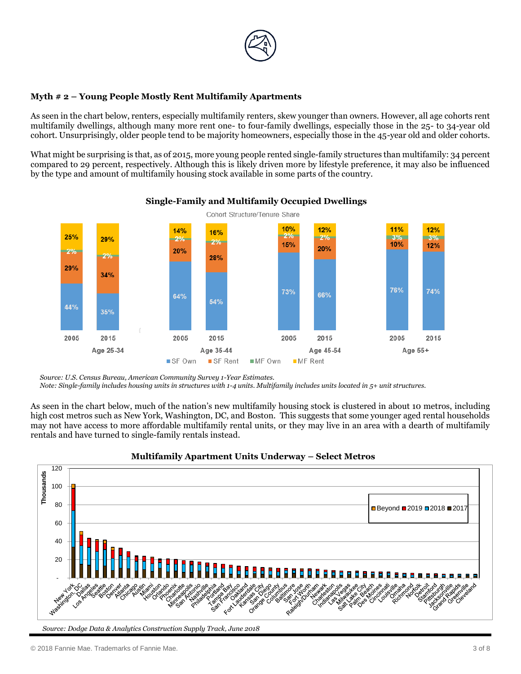

#### **Myth # 2 – Young People Mostly Rent Multifamily Apartments**

As seen in the chart below, renters, especially multifamily renters, skew younger than owners. However, all age cohorts rent multifamily dwellings, although many more rent one- to four-family dwellings, especially those in the 25- to 34-year old cohort. Unsurprisingly, older people tend to be majority homeowners, especially those in the 45-year old and older cohorts.

What might be surprising is that, as of 2015, more young people rented single-family structures than multifamily: 34 percent compared to 29 percent, respectively. Although this is likely driven more by lifestyle preference, it may also be influenced by the type and amount of multifamily housing stock available in some parts of the country.



# **Single-Family and Multifamily Occupied Dwellings**

*Note: Single-family includes housing units in structures with 1-4 units. Multifamily includes units located in 5+ unit structures.*

As seen in the chart below, much of the nation's new multifamily housing stock is clustered in about 10 metros, including high cost metros such as New York, Washington, DC, and Boston. This suggests that some younger aged rental households may not have access to more affordable multifamily rental units, or they may live in an area with a dearth of multifamily rentals and have turned to single-family rentals instead.



#### **Multifamily Apartment Units Underway – Select Metros**

*Source: U.S. Census Bureau, American Community Survey 1-Year Estimates.*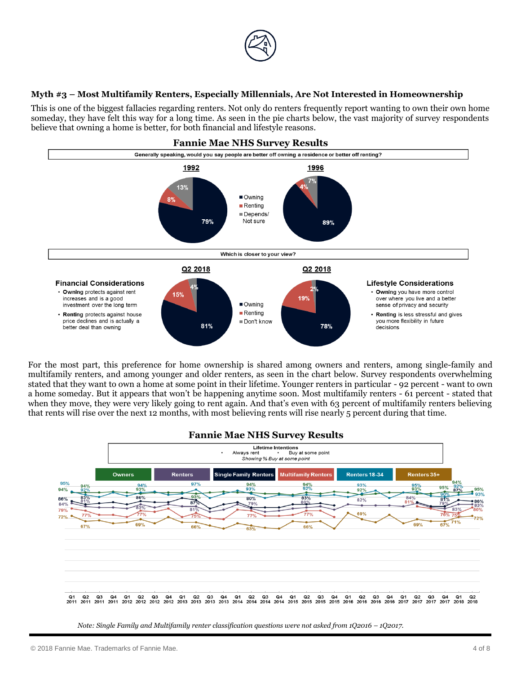

#### **Myth #3 – Most Multifamily Renters, Especially Millennials, Are Not Interested in Homeownership**

This is one of the biggest fallacies regarding renters. Not only do renters frequently report wanting to own their own home someday, they have felt this way for a long time. As seen in the pie charts below, the vast majority of survey respondents believe that owning a home is better, for both financial and lifestyle reasons.



For the most part, this preference for home ownership is shared among owners and renters, among single-family and multifamily renters, and among younger and older renters, as seen in the chart below. Survey respondents overwhelming stated that they want to own a home at some point in their lifetime. Younger renters in particular - 92 percent - want to own a home someday. But it appears that won't be happening anytime soon. Most multifamily renters - 61 percent - stated that when they move, they were very likely going to rent again. And that's even with 63 percent of multifamily renters believing that rents will rise over the next 12 months, with most believing rents will rise nearly 5 percent during that time.



*Note: Single Family and Multifamily renter classification questions were not asked from 1O2016 – 1O2017.*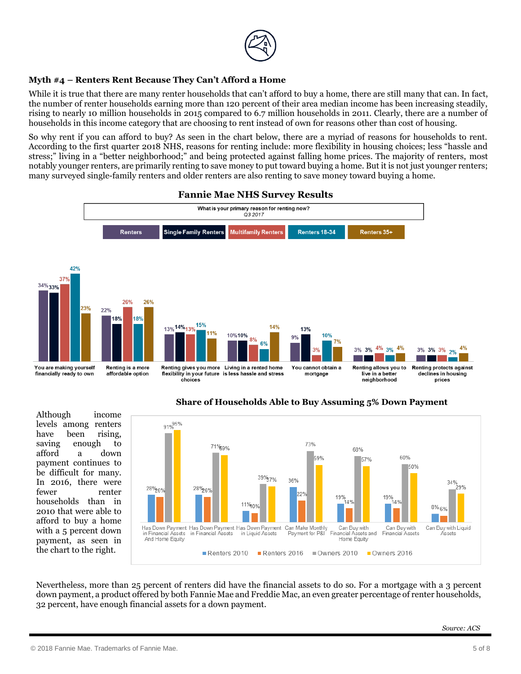

## **Myth #4 – Renters Rent Because They Can't Afford a Home**

While it is true that there are many renter households that can't afford to buy a home, there are still many that can. In fact, the number of renter households earning more than 120 percent of their area median income has been increasing steadily, rising to nearly 10 million households in 2015 compared to 6.7 million households in 2011. Clearly, there are a number of households in this income category that are choosing to rent instead of own for reasons other than cost of housing.

So why rent if you can afford to buy? As seen in the chart below, there are a myriad of reasons for households to rent. According to the first quarter 2018 NHS, reasons for renting include: more flexibility in housing choices; less "hassle and stress;" living in a "better neighborhood;" and being protected against falling home prices. The majority of renters, most notably younger renters, are primarily renting to save money to put toward buying a home. But it is not just younger renters; many surveyed single-family renters and older renters are also renting to save money toward buying a home.



#### **Fannie Mae NHS Survey Results**

Although income levels among renters have been rising, saving enough to afford a down payment continues to be difficult for many. In 2016, there were fewer renter households than in 2010 that were able to afford to buy a home with a 5 percent down payment, as seen in the chart to the right.





Nevertheless, more than 25 percent of renters did have the financial assets to do so. For a mortgage with a 3 percent down payment, a product offered by both Fannie Mae and Freddie Mac, an even greater percentage of renter households, 32 percent, have enough financial assets for a down payment.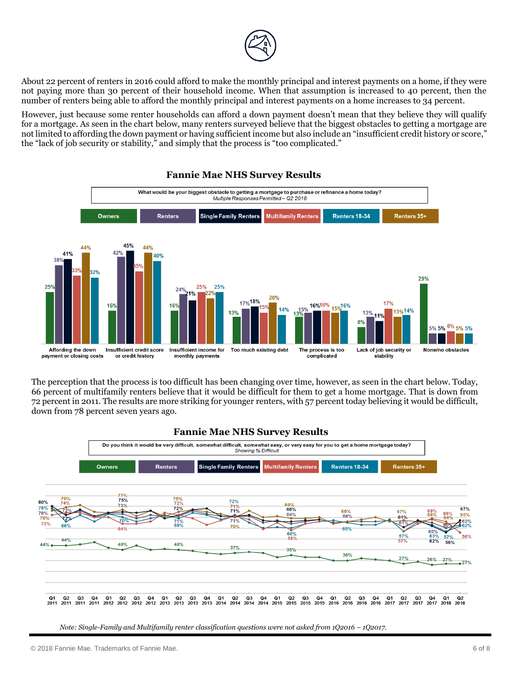

About 22 percent of renters in 2016 could afford to make the monthly principal and interest payments on a home, if they were not paying more than 30 percent of their household income. When that assumption is increased to 40 percent, then the number of renters being able to afford the monthly principal and interest payments on a home increases to 34 percent.

However, just because some renter households can afford a down payment doesn't mean that they believe they will qualify for a mortgage. As seen in the chart below, many renters surveyed believe that the biggest obstacles to getting a mortgage are not limited to affording the down payment or having sufficient income but also include an "insufficient credit history or score," the "lack of job security or stability," and simply that the process is "too complicated."



#### **Fannie Mae NHS Survey Results**

The perception that the process is too difficult has been changing over time, however, as seen in the chart below. Today, 66 percent of multifamily renters believe that it would be difficult for them to get a home mortgage. That is down from 72 percent in 2011. The results are more striking for younger renters, with 57 percent today believing it would be difficult, down from 78 percent seven years ago.



*Note: Single-Family and Multifamily renter classification questions were not asked from 1Q2016 - 1Q2017.*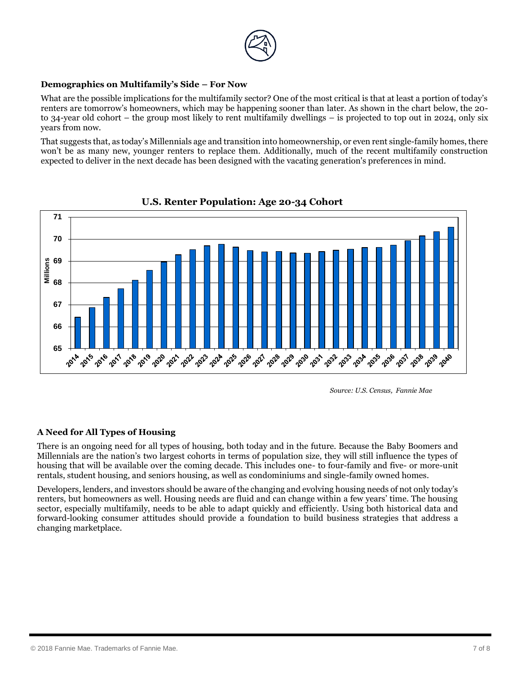

## **Demographics on Multifamily's Side – For Now**

What are the possible implications for the multifamily sector? One of the most critical is that at least a portion of today's renters are tomorrow's homeowners, which may be happening sooner than later. As shown in the chart below, the 20 to 34-year old cohort – the group most likely to rent multifamily dwellings – is projected to top out in 2024, only six years from now.

That suggests that, as today's Millennials age and transition into homeownership, or even rent single-family homes, there won't be as many new, younger renters to replace them. Additionally, much of the recent multifamily construction expected to deliver in the next decade has been designed with the vacating generation's preferences in mind.



**U.S. Renter Population: Age 20-34 Cohort**

# **A Need for All Types of Housing**

There is an ongoing need for all types of housing, both today and in the future. Because the Baby Boomers and Millennials are the nation's two largest cohorts in terms of population size, they will still influence the types of housing that will be available over the coming decade. This includes one- to four-family and five- or more-unit rentals, student housing, and seniors housing, as well as condominiums and single-family owned homes.

Developers, lenders, and investors should be aware of the changing and evolving housing needs of not only today's renters, but homeowners as well. Housing needs are fluid and can change within a few years' time. The housing sector, especially multifamily, needs to be able to adapt quickly and efficiently. Using both historical data and forward-looking consumer attitudes should provide a foundation to build business strategies that address a changing marketplace.

*Source: U.S. Census, Fannie Mae*